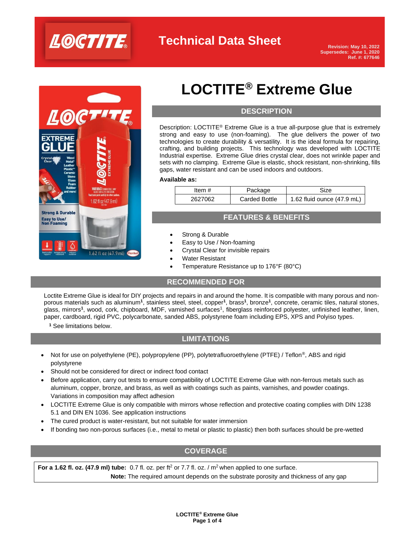



# **LOCTITE® Extreme Glue**

#### **DESCRIPTION**

Description: LOCTITE<sup>®</sup> Extreme Glue is a true all-purpose glue that is extremely strong and easy to use (non-foaming). The glue delivers the power of two technologies to create durability & versatility. It is the ideal formula for repairing, crafting, and building projects. This technology was developed with LOCTITE Industrial expertise. Extreme Glue dries crystal clear, does not wrinkle paper and sets with no clamping. Extreme Glue is elastic, shock resistant, non-shrinking, fills gaps, water resistant and can be used indoors and outdoors.

#### **Available as:**

| ltem #  | Package       | Size                       |
|---------|---------------|----------------------------|
| 2627062 | Carded Bottle | 1.62 fluid ounce (47.9 mL) |

#### **FEATURES & BENEFITS**

- Strong & Durable
- Easy to Use / Non-foaming
- Crystal Clear for invisible repairs
- Water Resistant
- Temperature Resistance up to 176°F (80°C)

#### **RECOMMENDED FOR**

Loctite Extreme Glue is ideal for DIY projects and repairs in and around the home. It is compatible with many porous and nonporous materials such as aluminum<sup>1</sup>, stainless steel, steel, copper<sup>1</sup>, brass<sup>1</sup>, bronze<sup>1</sup>, concrete, ceramic tiles, natural stones, glass, mirrors<sup>1</sup>, wood, cork, chipboard, MDF, varnished surfaces<sup>1</sup>, fiberglass reinforced polyester, unfinished leather, linen, paper, cardboard, rigid PVC, polycarbonate, sanded ABS, polystyrene foam including EPS, XPS and Polyiso types.

**<sup>1</sup>** See limitations below.

#### **LIMITATIONS**

- Not for use on polyethylene (PE), polypropylene (PP), polytetrafluoroethylene (PTFE) / Teflon<sup>®</sup>, ABS and rigid polystyrene
- Should not be considered for direct or indirect food contact
- Before application, carry out tests to ensure compatibility of LOCTITE Extreme Glue with non-ferrous metals such as aluminum, copper, bronze, and brass, as well as with coatings such as paints, varnishes, and powder coatings. Variations in composition may affect adhesion
- LOCTITE Extreme Glue is only compatible with mirrors whose reflection and protective coating complies with DIN 1238 5.1 and DIN EN 1036. See application instructions
- The cured product is water-resistant, but not suitable for water immersion
- If bonding two non-porous surfaces (i.e., metal to metal or plastic to plastic) then both surfaces should be pre-wetted

#### **COVERAGE**

**For a 1.62 fl. oz. (47.9 ml) tube:** 0.7 fl. oz. per ft<sup>2</sup> or 7.7 fl. oz. / m<sup>2</sup> when applied to one surface.  **Note:** The required amount depends on the substrate porosity and thickness of any gap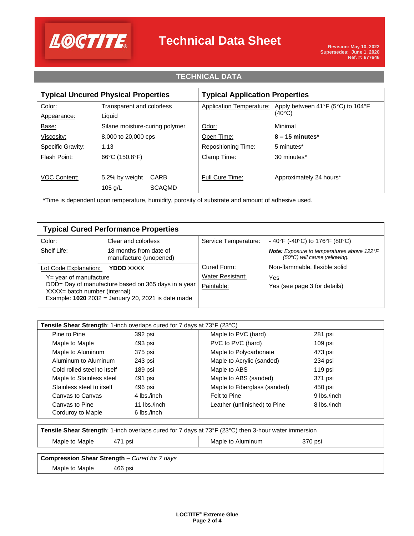

### **TECHNICAL DATA**

| <b>Typical Uncured Physical Properties</b> |                                | <b>Typical Application Properties</b> |                                                                 |  |
|--------------------------------------------|--------------------------------|---------------------------------------|-----------------------------------------------------------------|--|
| Color:                                     | Transparent and colorless      | Application Temperature:              | Apply between 41 $\degree$ F (5 $\degree$ C) to 104 $\degree$ F |  |
| Appearance:                                | Liquid                         |                                       | $(40^{\circ}C)$                                                 |  |
| Base:                                      | Silane moisture-curing polymer | Odor:                                 | Minimal                                                         |  |
| Viscosity:                                 | 8,000 to 20,000 cps            | Open Time:                            | $8 - 15$ minutes*                                               |  |
| Specific Gravity:                          | 1.13                           | <b>Repositioning Time:</b>            | 5 minutes*                                                      |  |
| Flash Point:                               | 66°C (150.8°F)                 | Clamp Time:                           | 30 minutes*                                                     |  |
|                                            |                                |                                       |                                                                 |  |
| <b>VOC Content:</b>                        | CARB<br>5.2% by weight         | Full Cure Time:                       | Approximately 24 hours*                                         |  |
|                                            | <b>SCAQMD</b><br>105 $q/L$     |                                       |                                                                 |  |

**\***Time is dependent upon temperature, humidity, porosity of substrate and amount of adhesive used.

| <b>Typical Cured Performance Properties</b>                                          |                                                      |                         |                                                                                            |
|--------------------------------------------------------------------------------------|------------------------------------------------------|-------------------------|--------------------------------------------------------------------------------------------|
| Color:                                                                               | Clear and colorless                                  | Service Temperature:    | - 40°F (-40°C) to 176°F (80°C)                                                             |
| Shelf Life:                                                                          | 18 months from date of<br>manufacture (unopened)     |                         | <b>Note:</b> Exposure to temperatures above 122°F<br>$(50^{\circ}C)$ will cause yellowing. |
| Lot Code Explanation:                                                                | YDDD XXXX                                            | Cured Form:             | Non-flammable, flexible solid                                                              |
| $Y =$ year of manufacture                                                            |                                                      | <b>Water Resistant:</b> | Yes                                                                                        |
| DDD= Day of manufacture based on 365 days in a year<br>XXXX= batch number (internal) |                                                      | Paintable:              | Yes (see page 3 for details)                                                               |
|                                                                                      | Example: $1020$ 2032 = January 20, 2021 is date made |                         |                                                                                            |

| <b>Tensile Shear Strength:</b> 1-inch overlaps cured for 7 days at $73^{\circ}F$ (23 $^{\circ}C$ ) |              |                              |             |
|----------------------------------------------------------------------------------------------------|--------------|------------------------------|-------------|
| Pine to Pine                                                                                       | 392 psi      | Maple to PVC (hard)          | 281 psi     |
| Maple to Maple                                                                                     | 493 psi      | PVC to PVC (hard)            | 109 psi     |
| Maple to Aluminum                                                                                  | 375 psi      | Maple to Polycarbonate       | 473 psi     |
| Aluminum to Aluminum                                                                               | 243 psi      | Maple to Acrylic (sanded)    | 234 psi     |
| Cold rolled steel to itself                                                                        | 189 psi      | Maple to ABS                 | 119 psi     |
| Maple to Stainless steel                                                                           | 491 psi      | Maple to ABS (sanded)        | 371 psi     |
| Stainless steel to itself                                                                          | 496 psi      | Maple to Fiberglass (sanded) | 450 psi     |
| Canvas to Canvas                                                                                   | 4 lbs./inch  | Felt to Pine                 | 9 lbs./inch |
| Canvas to Pine                                                                                     | 11 lbs./inch | Leather (unfinished) to Pine | 8 lbs./inch |
| Corduroy to Maple                                                                                  | 6 lbs./inch  |                              |             |

| <b>Tensile Shear Strength:</b> 1-inch overlaps cured for 7 days at 73°F (23°C) then 3-hour water immersion |         |                   |         |  |
|------------------------------------------------------------------------------------------------------------|---------|-------------------|---------|--|
| Maple to Maple                                                                                             | 471 psi | Maple to Aluminum | 370 psi |  |
| <b>Compression Shear Strength - Cured for 7 days</b>                                                       |         |                   |         |  |
| Maple to Maple                                                                                             | 466 psi |                   |         |  |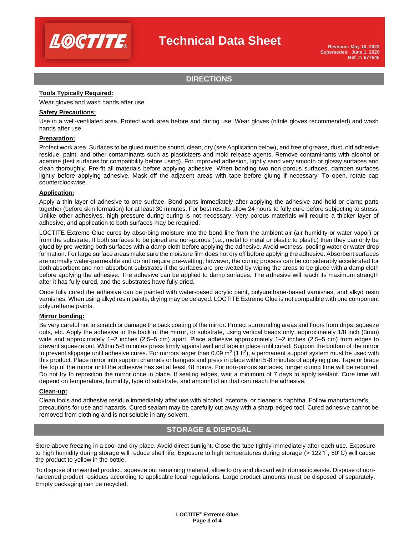

#### **DIRECTIONS**

#### **Tools Typically Required:**

Wear gloves and wash hands after use.

#### **Safety Precautions:**

Use in a well-ventilated area. Protect work area before and during use. Wear gloves (nitrile gloves recommended) and wash hands after use.

#### **Preparation:**

Protect work area. Surfaces to be glued must be sound, clean, dry (see Application below), and free of grease, dust, old adhesive residue, paint, and other contaminants such as plasticizers and mold release agents. Remove contaminants with alcohol or acetone (test surfaces for compatibility before using). For improved adhesion, lightly sand very smooth or glossy surfaces and clean thoroughly. Pre-fit all materials before applying adhesive. When bonding two non-porous surfaces, dampen surfaces lightly before applying adhesive. Mask off the adjacent areas with tape before gluing if necessary. To open, rotate cap counterclockwise.

#### **Application:**

Apply a thin layer of adhesive to one surface. Bond parts immediately after applying the adhesive and hold or clamp parts together (before skin formation) for at least 30 minutes. For best results allow 24 hours to fully cure before subjecting to stress. Unlike other adhesives, high pressure during curing is not necessary. Very porous materials will require a thicker layer of adhesive, and application to both surfaces may be required.

LOCTITE Extreme Glue cures by absorbing moisture into the bond line from the ambient air (air humidity or water vapor) or from the substrate. If both surfaces to be joined are non-porous (i.e., metal to metal or plastic to plastic) then they can only be glued by pre-wetting both surfaces with a damp cloth before applying the adhesive. Avoid wetness, pooling water or water drop formation. For large surface areas make sure the moisture film does not dry off before applying the adhesive. Absorbent surfaces are normally water-permeable and do not require pre-wetting; however, the curing process can be considerably accelerated for both absorbent and non-absorbent substrates if the surfaces are pre-wetted by wiping the areas to be glued with a damp cloth before applying the adhesive. The adhesive can be applied to damp surfaces. The adhesive will reach its maximum strength after it has fully cured, and the substrates have fully dried.

Once fully cured the adhesive can be painted with water-based acrylic paint, polyurethane-based varnishes, and alkyd resin varnishes. When using alkyd resin paints, drying may be delayed. LOCTITE Extreme Glue is not compatible with one component polyurethane paints.

#### **Mirror bonding:**

Be very careful not to scratch or damage the back coating of the mirror. Protect surrounding areas and floors from drips, squeeze outs, etc. Apply the adhesive to the back of the mirror, or substrate, using vertical beads only, approximately 1/8 inch (3mm) wide and approximately 1–2 inches (2.5–5 cm) apart. Place adhesive approximately 1–2 inches (2.5–5 cm) from edges to prevent squeeze out. Within 5-8 minutes press firmly against wall and tape in place until cured. Support the bottom of the mirror to prevent slippage until adhesive cures. For mirrors larger than 0.09 m<sup>2</sup> (1 ft<sup>2</sup>), a permanent support system must be used with this product. Place mirror into support channels or hangers and press in place within 5-8 minutes of applying glue. Tape or brace the top of the mirror until the adhesive has set at least 48 hours. For non-porous surfaces, longer curing time will be required. Do not try to reposition the mirror once in place. If sealing edges, wait a minimum of 7 days to apply sealant. Cure time will depend on temperature, humidity, type of substrate, and amount of air that can reach the adhesive.

#### **Clean-up:**

Clean tools and adhesive residue immediately after use with alcohol, acetone, or cleaner's naphtha. Follow manufacturer's precautions for use and hazards. Cured sealant may be carefully cut away with a sharp-edged tool. Cured adhesive cannot be removed from clothing and is not soluble in any solvent.

#### **STORAGE & DISPOSAL**

Store above freezing in a cool and dry place. Avoid direct sunlight. Close the tube tightly immediately after each use. Exposure to high humidity during storage will reduce shelf life. Exposure to high temperatures during storage (> 122°F, 50°C) will cause the product to yellow in the bottle.

To dispose of unwanted product, squeeze out remaining material, allow to dry and discard with domestic waste. Dispose of nonhardened product residues according to applicable local regulations. Large product amounts must be disposed of separately. Empty packaging can be recycled.